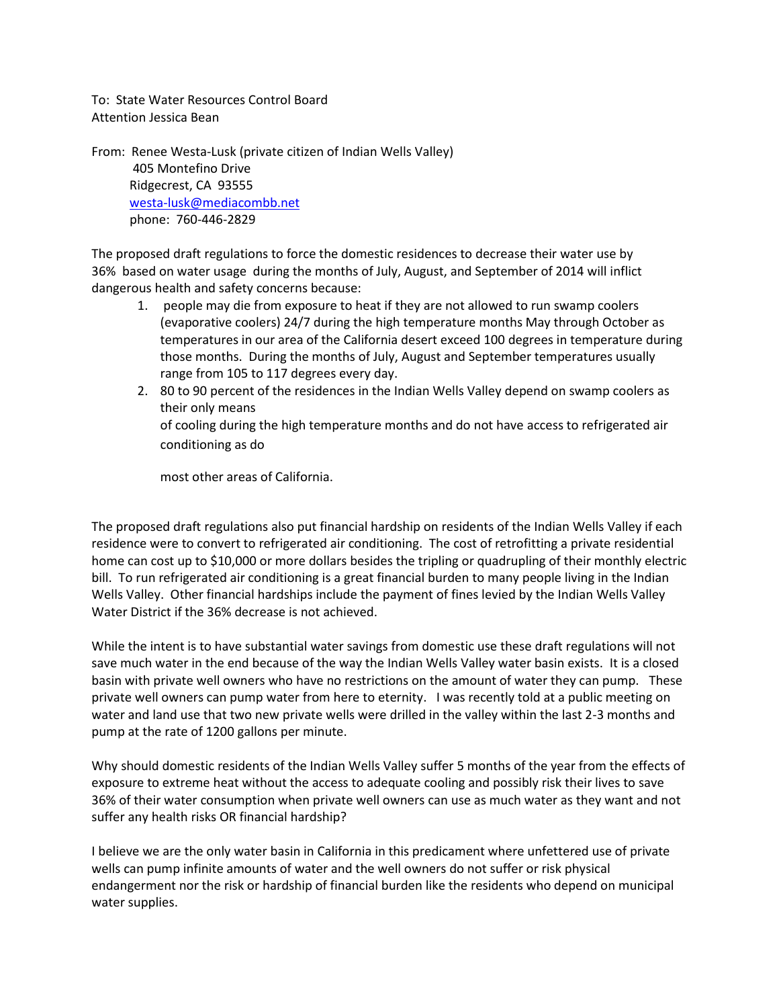To: State Water Resources Control Board Attention Jessica Bean

From: Renee Westa-Lusk (private citizen of Indian Wells Valley) 405 Montefino Drive Ridgecrest, CA 93555 [westa-lusk@mediacombb.net](mailto:westa-lusk@mediacombb.net)  phone: 760-446-2829

The proposed draft regulations to force the domestic residences to decrease their water use by 36% based on water usage during the months of July, August, and September of 2014 will inflict dangerous health and safety concerns because:

- 1. people may die from exposure to heat if they are not allowed to run swamp coolers (evaporative coolers) 24/7 during the high temperature months May through October as temperatures in our area of the California desert exceed 100 degrees in temperature during those months. During the months of July, August and September temperatures usually range from 105 to 117 degrees every day.
- 2. 80 to 90 percent of the residences in the Indian Wells Valley depend on swamp coolers as their only means of cooling during the high temperature months and do not have access to refrigerated air conditioning as do

most other areas of California.

The proposed draft regulations also put financial hardship on residents of the Indian Wells Valley if each residence were to convert to refrigerated air conditioning. The cost of retrofitting a private residential home can cost up to \$10,000 or more dollars besides the tripling or quadrupling of their monthly electric bill. To run refrigerated air conditioning is a great financial burden to many people living in the Indian Wells Valley. Other financial hardships include the payment of fines levied by the Indian Wells Valley Water District if the 36% decrease is not achieved.

While the intent is to have substantial water savings from domestic use these draft regulations will not save much water in the end because of the way the Indian Wells Valley water basin exists. It is a closed basin with private well owners who have no restrictions on the amount of water they can pump. These private well owners can pump water from here to eternity. I was recently told at a public meeting on water and land use that two new private wells were drilled in the valley within the last 2-3 months and pump at the rate of 1200 gallons per minute.

Why should domestic residents of the Indian Wells Valley suffer 5 months of the year from the effects of exposure to extreme heat without the access to adequate cooling and possibly risk their lives to save 36% of their water consumption when private well owners can use as much water as they want and not suffer any health risks OR financial hardship?

I believe we are the only water basin in California in this predicament where unfettered use of private wells can pump infinite amounts of water and the well owners do not suffer or risk physical endangerment nor the risk or hardship of financial burden like the residents who depend on municipal water supplies.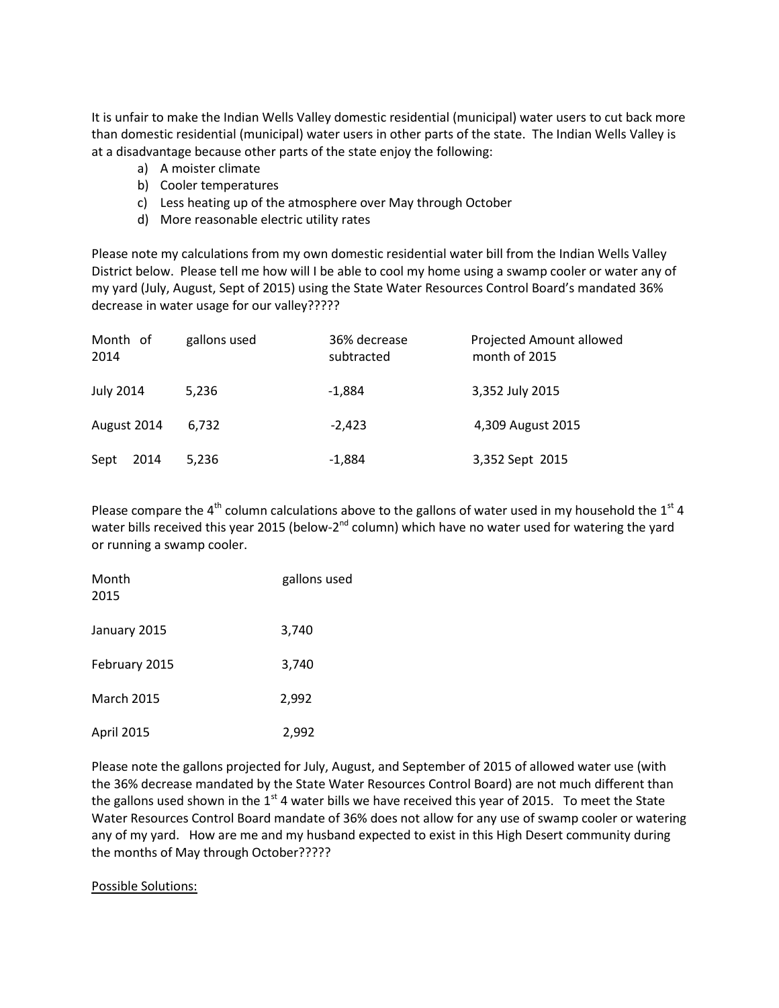It is unfair to make the Indian Wells Valley domestic residential (municipal) water users to cut back more than domestic residential (municipal) water users in other parts of the state. The Indian Wells Valley is at a disadvantage because other parts of the state enjoy the following:

- a) A moister climate
- b) Cooler temperatures
- c) Less heating up of the atmosphere over May through October
- d) More reasonable electric utility rates

Please note my calculations from my own domestic residential water bill from the Indian Wells Valley District below. Please tell me how will I be able to cool my home using a swamp cooler or water any of my yard (July, August, Sept of 2015) using the State Water Resources Control Board's mandated 36% decrease in water usage for our valley?????

| Month of<br>2014 | gallons used | 36% decrease<br>subtracted | Projected Amount allowed<br>month of 2015 |
|------------------|--------------|----------------------------|-------------------------------------------|
| <b>July 2014</b> | 5.236        | $-1,884$                   | 3,352 July 2015                           |
| August 2014      | 6.732        | $-2,423$                   | 4,309 August 2015                         |
| Sept<br>2014     | 5,236        | $-1,884$                   | 3,352 Sept 2015                           |

Please compare the 4<sup>th</sup> column calculations above to the gallons of water used in my household the 1<sup>st</sup> 4 water bills received this year 2015 (below-2<sup>nd</sup> column) which have no water used for watering the yard or running a swamp cooler.

| Month<br>2015     | gallons used |
|-------------------|--------------|
| January 2015      | 3,740        |
| February 2015     | 3,740        |
| <b>March 2015</b> | 2,992        |
| April 2015        | 2,992        |

Please note the gallons projected for July, August, and September of 2015 of allowed water use (with the 36% decrease mandated by the State Water Resources Control Board) are not much different than the gallons used shown in the  $1<sup>st</sup>$  4 water bills we have received this year of 2015. To meet the State Water Resources Control Board mandate of 36% does not allow for any use of swamp cooler or watering any of my yard. How are me and my husband expected to exist in this High Desert community during the months of May through October?????

## Possible Solutions: